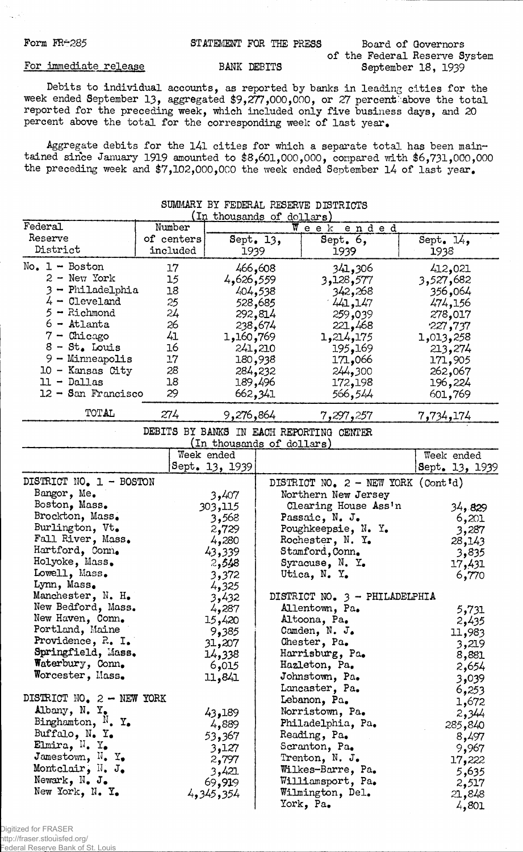### Form FR $\div$ 285 STATEMENT FOR THE PRESS Board of Governors

## of the Federal Reserve System BANK DEBITS September 18, 1939

### For immediate release

Debits to individual accounts, as reported by banks in leading cities for the week ended September 13, aggregated \$9,277,000,000, or 27 percent above the total reported for the preceding week, which included only five business days, and 20 percent above the total for the corresponding week of last year.

Aggregate debits for the 141 cities for which a separate total has been maintained since January 1919 amounted to \$8,601,000,000, compared with \$6,731,000,000 the preceding week and \$7,102,000,000 the week ended September 14 of last year.

| Federal                                                                                                                                                                                                                                  | Number                                                               | (In thousands of dollars)<br>Week<br>ended                                                                                           |                                                                                                                                       |                                                                                                                                      |  |
|------------------------------------------------------------------------------------------------------------------------------------------------------------------------------------------------------------------------------------------|----------------------------------------------------------------------|--------------------------------------------------------------------------------------------------------------------------------------|---------------------------------------------------------------------------------------------------------------------------------------|--------------------------------------------------------------------------------------------------------------------------------------|--|
| Reserve<br>District                                                                                                                                                                                                                      | of centers<br>included                                               | Sept. 13,<br>1939                                                                                                                    | Sept. 6,<br>1939                                                                                                                      | Sept. $14,$<br>1938                                                                                                                  |  |
| $No. 1 - Boston$<br>$2 -$ New York<br>3 - Philadelphia<br>$4 -$ Cleveland<br>$5 -$ Richmond<br>$6 -$ Atlanta<br>$7 -$ Chicago<br>$8 - St$ . Louis<br>$9 -$ Minneapolis<br>- Kansas City<br>10<br>$-$ Dallas<br>ll.<br>12 - San Francisco | 17<br>15<br>18<br>25<br>24<br>26<br>41<br>16<br>17<br>28<br>18<br>29 | 466,608<br>4,626,559<br>404,538<br>528,685<br>292,814<br>238,674<br>1,160,769<br>241,210<br>180,938<br>284,232<br>189,496<br>662,341 | 341,306<br>3,128,577<br>342,268<br>441, 147<br>259,039<br>221,468<br>1,214,175<br>195,169<br>171,066<br>244,300<br>172,198<br>566,544 | 412,021<br>3,527,682<br>356,064<br>474,156<br>278,017<br>227,737<br>1,013,258<br>213,274<br>171,905<br>262,067<br>196,224<br>601,769 |  |
| TOTAL                                                                                                                                                                                                                                    | 274                                                                  | 9,276,864                                                                                                                            | 7,297,257                                                                                                                             | 7,734,174                                                                                                                            |  |

## SUMMARY BY FEDERAL RESERVE DISTRICTS

DEBITS BY BANKS IN EACH REPORTING CENTER (In thousands of dollars)

|                                         |                | Commodation of dollar of                    |                |         |  |
|-----------------------------------------|----------------|---------------------------------------------|----------------|---------|--|
|                                         | Week ended     |                                             | Week ended     |         |  |
|                                         | Sept. 13, 1939 |                                             | Sept. 13, 1939 |         |  |
| DISTRICT NO. 1 - BOSTON                 |                | DISTRICT NO. $2 - \text{NEW YORK}$ (Cont'd) |                |         |  |
| Bangor, Me.                             | 3,407          | Northern New Jersey                         |                |         |  |
| Boston, Mass.                           | 303,115        | Clearing House Ass'n                        |                | 34,829  |  |
| Brockton, Mass.                         | 3,568          | Passaic, N. J.                              |                | 6,201   |  |
| Burlington, Vt.                         | 2,729          | Poughkeepsie, N. Y.                         |                | 3,287   |  |
| Fall River, Mass.                       | 4,280          | Rochester, N. Y.                            |                | 28,143  |  |
| Hartford, Conn.                         | 43,339         | Stamford, Conn.                             |                | 3,835   |  |
| Holyoke, Mass.                          | 2,548          | Syracuse, N. Y.                             |                | 17,431  |  |
| Lowell, Mass.                           | 3,372          | Utica, N. Y.                                |                | 6,770   |  |
| Lynn, Mass.                             | 4,325          |                                             |                |         |  |
| Manchester, N. H.                       | 3,432          | DISTRICT NO. 3 - PHILADELPHIA               |                |         |  |
| New Bedford, Mass.                      | 4,287          | Allentown, Pa.                              |                | 5,731   |  |
| New Haven, Conn.                        | 15,420         | Altoona, Pa.                                |                | 2,435   |  |
| Portland, Maine                         | 9,385          | Camden, N. J.                               |                | 11,983  |  |
| Providence, R. I.                       | 31,207         | Chester, Pa.                                |                | 3,219   |  |
| Springfield, Mass.                      | 14,338         | Harrisburg, Pa.                             |                | 8,881   |  |
| Waterbury, Conn.                        | 6,015          | Hazleton, Pa.                               |                | 2,654   |  |
| Worcester, Mass.                        | 11,841         | Johnstown, Pa.                              |                | 3,039   |  |
|                                         |                | Lancaster, Pa.                              |                | 6,253   |  |
| DISTRICT NO. 2 - NEW YORK               |                | Lebanon, Pa.                                |                | 1,672   |  |
| Albany, N. Y.                           | 43,189         | Norristown, Pa.                             |                | 2,344   |  |
| Binghamton, $N$ . Y.                    | 4,889          | Philadelphia, Pa.                           |                | 285,840 |  |
| Buffalo, $N_{\bullet}$ $Y_{\bullet}$    | 53,367         | Reading, Pa.                                |                | 8,497   |  |
| Elmira, $N_{\bullet}$ Y <sub>*</sub>    | 3,127          | Scranton, Pa.                               |                | 9,967   |  |
| Jamestown, $N_{\bullet}$ Y <sub>*</sub> | 2,797          | Trenton, N. J.                              |                | 17,222  |  |
| Montclair, $\mathbb{N}$ . J.            | 3,421          | Wilkes-Barre, Pa.                           |                | 5,635   |  |
| Newark, $N_{\bullet}$ J.                | 69,919         | Williamsport, Pa.                           |                | 2,517   |  |
| New York, N. Y.                         | 4,345,354      | Wilmington, Del.                            |                | 21,848  |  |
|                                         |                | York, Pa.                                   |                | 4,801   |  |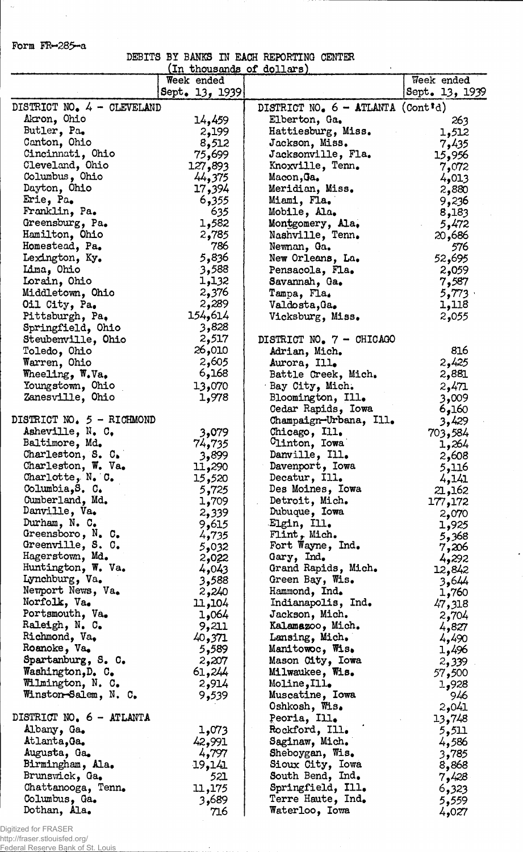Form FR~285~a

 $\mathbb{R}^2$ 

 $\hat{\mathcal{A}}_{\mathbf{r}}$ 

DEBITS BY BANKS IN EACH REPORTING CENTER

|                                           | <u>(In thousands of dollars)</u> |                                            |                |
|-------------------------------------------|----------------------------------|--------------------------------------------|----------------|
|                                           | Week ended                       |                                            | Week ended     |
|                                           | Sept. 13, 1939                   |                                            | Sept. 13, 1939 |
| DISTRICT NO. 4 - CLEVELAND                |                                  | DISTRICT NO. $6 - \text{ATLANTA}$ (Cont'd) |                |
| Akron, Ohio                               | 14,459                           | Elberton, Ga.                              | 263            |
| Butler, Pa.                               | 2,199                            | Hattiesburg, Miss.                         | 1,512          |
| Canton, Ohio                              | 8,512                            | Jackson, Miss.                             | 7,435          |
| Cincinnati, Ohio                          | 75,699                           | Jacksonville, Fla.                         | 15,956         |
| Cleveland, Ohio                           | 127,893                          | Knoxville, Tenn.                           | 7,072          |
| Columbus, Ohio                            | 44,375                           | Macon, Ja.                                 | 4,013          |
| Dayton, Ohio                              | 17,394                           | Meridian, Miss.                            | 2,880          |
| Erie, Pa.                                 | 6,355                            | Miami, Fla.                                | 9,236          |
| Franklin, Pa.                             | 635                              | Mobile, Ala.                               | 8,183          |
| Greensburg, Pa.                           | 1,582                            | Montgomery, Ala.                           | 5,472          |
| Hamilton, Ohio                            | 2,785                            | Nashville, Tenn.                           | 20,686         |
| Homestead, Pa.                            | 786                              | Newnan, Ga.                                | 576            |
| Lexington, Ky.                            | 5,836                            | New Orleans, La.                           | 52,695         |
| Lima, Ohio                                | 3,588                            | Pensacola, Fla.                            | 2,059          |
| Lorain, Ohio                              | 1,132                            | Savannah, Ga.                              | 7,587          |
| Middletown, Ohio                          | 2,376                            | Tampa, Fla.                                | 5,773          |
| Oil City, Pa.                             | 2,289                            | Valdosta, Ga.                              | 1,118          |
| Pittsburgh, Pa.                           | 154,614                          | Vicksburg, Miss.                           | 2,055          |
| Springfield, Ohio                         | 3,828                            |                                            |                |
| Steubenville, Ohio                        | 2,517                            | DISTRICT NO. 7 - CHICAGO                   |                |
| Toledo, Ohio                              | 26,010                           | Adrian, Mich.                              | 816            |
| Warren, Ohio                              | 2,605                            | Aurora, Ill.                               | 2,425          |
| Wheeling, W.Va.                           | 6,168                            | Battle Creek, Mich.                        | 2,881          |
| Youngstown, Ohio                          | 13,070                           | Bay City, Mich.                            | 2,471          |
| Zanesville, Ohio                          | 1,978                            | Bloomington, Ill.                          | 3,009          |
|                                           |                                  | Cedar Rapids, Iowa                         | 6,160          |
| DISTRICT NO. 5 - RICHMOND                 |                                  | Champaign-Urbana, Ill.                     | 3,429          |
| Asheville, N. C.                          | 3,079                            | Chicago, Ill.                              | 703,584        |
| Baltimore, Md.                            | 74,735                           | Clinton, Iowa                              | 1,264          |
| Charleston, S. C.                         | 3,899                            | Danville, Ill.                             | 2,608          |
| Charleston, W. Va.                        | 11,290                           | Davenport, Iowa                            | 5,116          |
| Charlotte, N. C.                          | 15,520                           | Decatur, Ill.                              | 4,141          |
| Columbia, S. C.                           | 5,725                            | Des Moines, Iowa                           | 21,162         |
| Cumberland, Md.                           | 1,709                            | Detroit, Mich.                             | 177,172        |
| Danville, Va.                             | 2,339                            | Dubuque, Iowa                              | 2,070          |
| Durham, N. C.                             | 9,615                            | Elgin, Ill.                                | 1,925          |
| Greensboro, $N_a$ C.<br>Greenville, S. C. | 4,735                            | Flint, Mich.                               | 5,368          |
| Hagerstown, Md.                           | 5,032                            | Fort Wayne, Ind.<br>Gary, Ind.             | 7,206          |
| Huntington, W. Va.                        | 2,022<br>4,043                   | Grand Rapids, Mich.                        | 4,292          |
| Lynchburg, Va.                            | 3,588                            | Green Bay, Wis.                            | 12,842         |
| Newport News, Va.                         | 2,240                            | Hammond, Ind.                              | 3,644<br>1,760 |
| Norfolk, Va.                              | 11,104                           | Indianapolis, Ind.                         | 47,318         |
| Portsmouth, Va.                           | 1,064                            | Jackson, Mich.                             | 2,704          |
| Raleigh, N. C.                            | 9,211                            | Kalamazoo, Mich.                           | 4,827          |
| Richmond, Va.                             | 40,371                           | Lansing, Mich.                             | 4,490          |
| Roanoke, Va.                              | 5,589                            | Manitowoc, Wis.                            | 1,496          |
| Spartanburg, S. C.                        | 2,207                            | Mason City, Iowa                           | 2,339          |
| Washington, D. C.                         | 61,244                           | Milwaukee, Wis.                            | 57,500         |
| Wilmington, N. C.                         | 2,914                            | Moline, Ill.                               | 1,928          |
| Winston-Salem, N. C.                      | 9,539                            | Muscatine, Iowa                            | 946            |
|                                           |                                  | Oshkosh, Wis.                              | 2,041          |
| DISTRICT NO. 6 - ATLANTA                  |                                  | Peoria, Ill.                               | 13,748         |
| Albany, Ga.                               | 1,073                            | Rockford, Ill.                             | 5,511          |
| Atlanta, Ga.                              | 42,991                           | Saginaw, Mich.                             | 4,586          |
| Augusta, Ga.                              | 4,797                            | Sheboygan, Wis.                            | 3,785          |
| Birmingham, Ala.                          | 19,141                           | Sioux City, Iowa                           | 8,868          |
| Brunswick, Ga.                            | 521                              | South Bend, Ind.                           | 7,428          |
| Chattanooga, Tenn.                        | 11,175                           | Springfield, Ill.                          | 6,323          |
| Columbus, Ga.                             | 3,689                            | Terre Haute, Ind.                          | 5,559          |
| Dothan, Ala.                              | 716                              | Waterloo, Iowa                             | 4,027          |

 $\ddot{\phantom{0}}$ 

Digitized for FRASER

http://fraser.stlouisfed.org/ Federal Reserve Bank of St. Louis